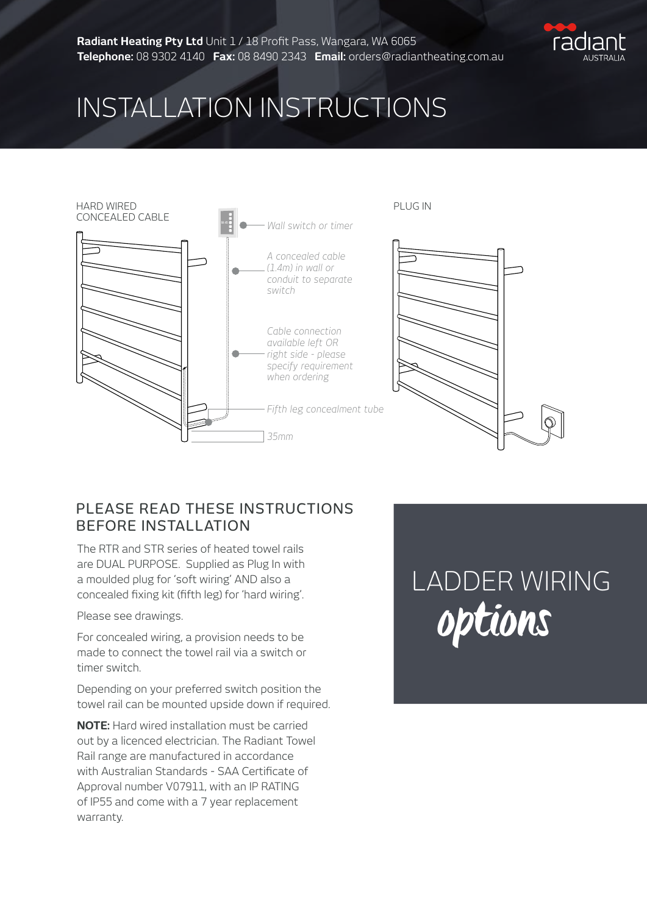

## INSTALLATION INSTRUCTIONS



#### PLEASE READ THESE INSTRUCTIONS BEFORE INSTALLATION

The RTR and STR series of heated towel rails are DUAL PURPOSE. Supplied as Plug In with a moulded plug for 'soft wiring' AND also a concealed fixing kit (fifth leg) for 'hard wiring'.

Please see drawings.

For concealed wiring, a provision needs to be made to connect the towel rail via a switch or timer switch.

Depending on your preferred switch position the towel rail can be mounted upside down if required.

**NOTE:** Hard wired installation must be carried out by a licenced electrician. The Radiant Towel Rail range are manufactured in accordance with Australian Standards - SAA Certificate of Approval number V07911, with an IP RATING of IP55 and come with a 7 year replacement warranty.

# LADDER WIRING options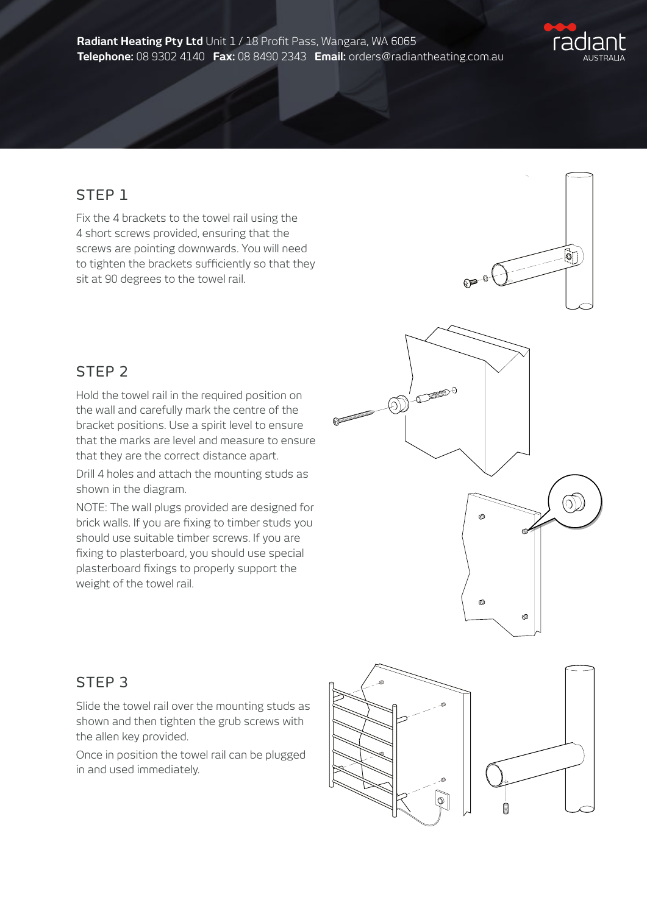

ତ୍ରୀ

### STEP 1

Fix the 4 brackets to the towel rail using the 4 short screws provided, ensuring that the screws are pointing downwards. You will need to tighten the brackets sufficiently so that they sit at 90 degrees to the towel rail.

#### STEP 2

Hold the towel rail in the required position on the wall and carefully mark the centre of the bracket positions. Use a spirit level to ensure that the marks are level and measure to ensure that they are the correct distance apart.

Drill 4 holes and attach the mounting studs as shown in the diagram.

NOTE: The wall plugs provided are designed for brick walls. If you are fixing to timber studs you should use suitable timber screws. If you are fixing to plasterboard, you should use special plasterboard fixings to properly support the weight of the towel rail.



 $e^{-\theta C}$ 

#### STEP 3

Slide the towel rail over the mounting studs as shown and then tighten the grub screws with the allen key provided.

Once in position the towel rail can be plugged in and used immediately.